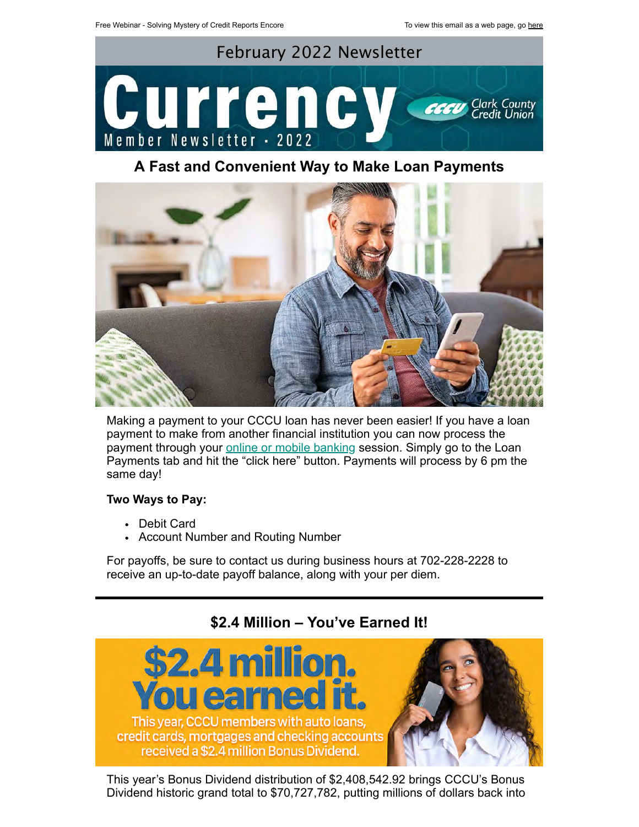

# **A Fast and Convenient Way to Make Loan Payments**



Making a payment to your CCCU loan has never been easier! If you have a loan payment to make from another financial institution you can now process the payment through your **[online or mobile banking](https://secure.ccculv.com/ccculv/uux.aspx#/login/) session**. Simply go to the Loan Payments tab and hit the "click here" button. Payments will process by 6 pm the same day!

# **Two Ways to Pay:**

- Debit Card
- Account Number and Routing Number

For payoffs, be sure to contact us during business hours at 702-228-2228 to receive an up-to-date payoff balance, along with your per diem.

# **\$2.4 Million – You've Earned It!**



This year's Bonus Dividend distribution of \$2,408,542.92 brings CCCU's Bonus Dividend historic grand total to \$70,727,782, putting millions of dollars back into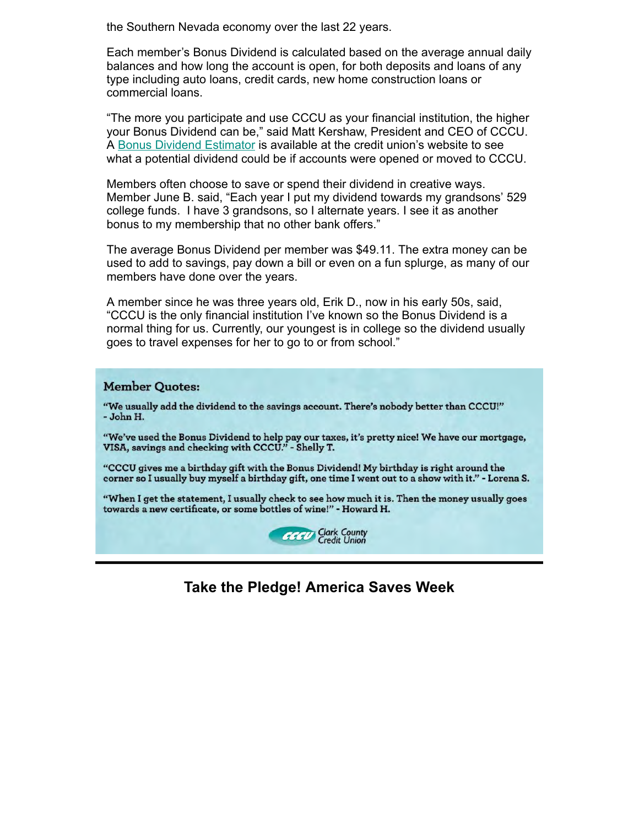the Southern Nevada economy over the last 22 years.

Each member's Bonus Dividend is calculated based on the average annual daily balances and how long the account is open, for both deposits and loans of any type including auto loans, credit cards, new home construction loans or commercial loans.

"The more you participate and use CCCU as your financial institution, the higher your Bonus Dividend can be," said Matt Kershaw, President and CEO of CCCU. A [Bonus Dividend Estimator](https://www.ccculv.org/Your-Bonus-Dividend.aspx) is available at the credit union's website to see what a potential dividend could be if accounts were opened or moved to CCCU.

Members often choose to save or spend their dividend in creative ways. Member June B. said, "Each year I put my dividend towards my grandsons' 529 college funds. I have 3 grandsons, so I alternate years. I see it as another bonus to my membership that no other bank offers."

The average Bonus Dividend per member was \$49.11. The extra money can be used to add to savings, pay down a bill or even on a fun splurge, as many of our members have done over the years.

A member since he was three years old, Erik D., now in his early 50s, said, "CCCU is the only financial institution I've known so the Bonus Dividend is a normal thing for us. Currently, our youngest is in college so the dividend usually goes to travel expenses for her to go to or from school."

#### **Member Quotes:**

"We usually add the dividend to the savings account. There's nobody better than CCCU!" - John H.

"We've used the Bonus Dividend to help pay our taxes, it's pretty nice! We have our mortgage, VISA, savings and checking with CCCU." - Shelly T.

"CCCU gives me a birthday gift with the Bonus Dividend! My birthday is right around the corner so I usually buy myself a birthday gift, one time I went out to a show with it." - Lorena S.

"When I get the statement, I usually check to see how much it is. Then the money usually goes towards a new certificate, or some bottles of wine!" - Howard H.



# **Take the Pledge! America Saves Week**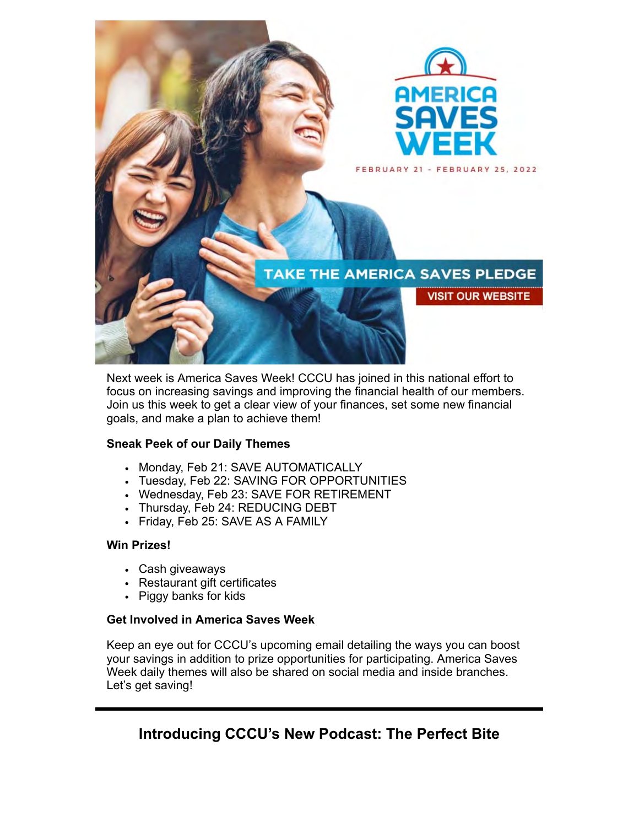

Next week is America Saves Week! CCCU has joined in this national effort to focus on increasing savings and improving the financial health of our members. Join us this week to get a clear view of your finances, set some new financial goals, and make a plan to achieve them!

### **Sneak Peek of our Daily Themes**

- Monday, Feb 21: SAVE AUTOMATICALLY
- Tuesday, Feb 22: SAVING FOR OPPORTUNITIES
- Wednesday, Feb 23: SAVE FOR RETIREMENT
- Thursday, Feb 24: REDUCING DEBT
- Friday, Feb 25: SAVE AS A FAMILY

### **Win Prizes!**

- Cash giveaways
- Restaurant gift certificates
- Piggy banks for kids

# **Get Involved in America Saves Week**

Keep an eye out for CCCU's upcoming email detailing the ways you can boost your savings in addition to prize opportunities for participating. America Saves Week daily themes will also be shared on social media and inside branches. Let's get saving!

# **Introducing CCCU's New Podcast: The Perfect Bite**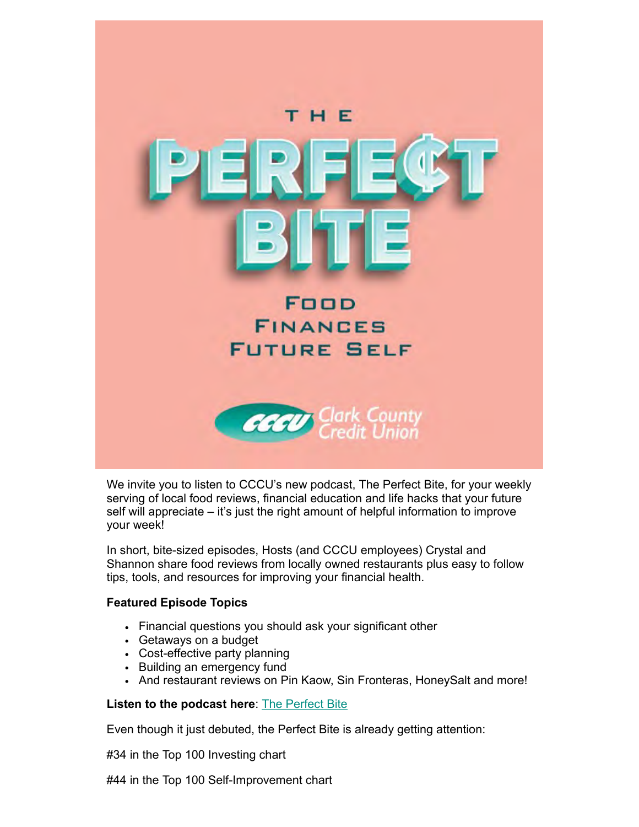

We invite you to listen to CCCU's new podcast, The Perfect Bite, for your weekly serving of local food reviews, financial education and life hacks that your future self will appreciate – it's just the right amount of helpful information to improve your week!

In short, bite-sized episodes, Hosts (and CCCU employees) Crystal and Shannon share food reviews from locally owned restaurants plus easy to follow tips, tools, and resources for improving your financial health.

### **Featured Episode Topics**

- Financial questions you should ask your significant other
- Getaways on a budget
- Cost-effective party planning
- Building an emergency fund
- And restaurant reviews on Pin Kaow, Sin Fronteras, HoneySalt and more!

### **Listen to the podcast here**: [The Perfect Bite](https://www.ccculv.org/CCCU-Podcast.aspx)

Even though it just debuted, the Perfect Bite is already getting attention:

#34 in the Top 100 Investing chart

#44 in the Top 100 Self-Improvement chart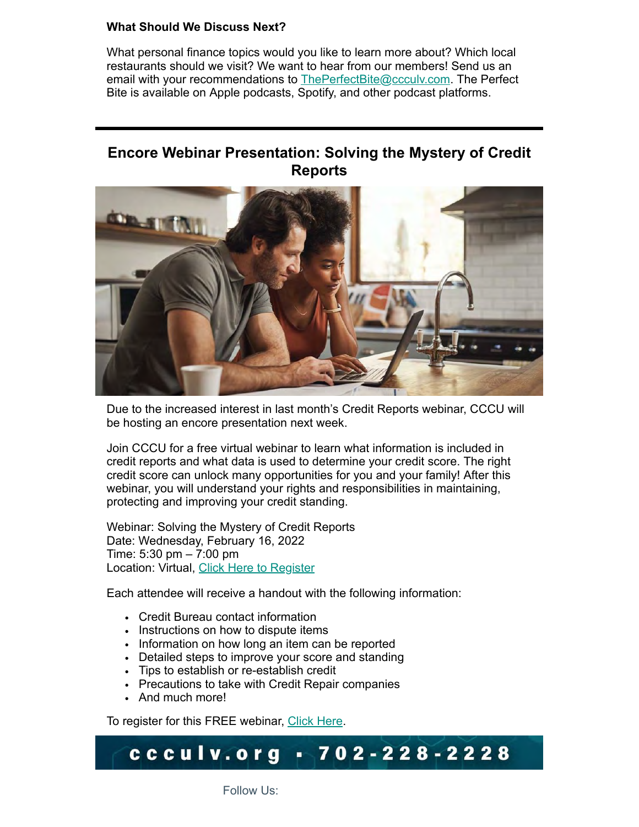### **What Should We Discuss Next?**

What personal finance topics would you like to learn more about? Which local restaurants should we visit? We want to hear from our members! Send us an email with your recommendations to [ThePerfectBite@ccculv.com.](mailto:ThePerfectBite@ccculv.com) The Perfect Bite is available on Apple podcasts, Spotify, and other podcast platforms.

# **Encore Webinar Presentation: Solving the Mystery of Credit Reports**



Due to the increased interest in last month's Credit Reports webinar, CCCU will be hosting an encore presentation next week.

Join CCCU for a free virtual webinar to learn what information is included in credit reports and what data is used to determine your credit score. The right credit score can unlock many opportunities for you and your family! After this webinar, you will understand your rights and responsibilities in maintaining, protecting and improving your credit standing.

Webinar: Solving the Mystery of Credit Reports Date: Wednesday, February 16, 2022 Time: 5:30 pm – 7:00 pm Location: Virtual, [Click Here to Register](https://campaign.documatix.com/DPS/Events/Registration?GUID=sctORlhPRUmVisnXhtFXIA)

Each attendee will receive a handout with the following information:

- Credit Bureau contact information
- Instructions on how to dispute items
- Information on how long an item can be reported
- Detailed steps to improve your score and standing
- Tips to establish or re-establish credit
- Precautions to take with Credit Repair companies
- And much more!

To register for this FREE webinar, [Click Here.](https://campaign.documatix.com/DPS/Events/Registration?GUID=sctORlhPRUmVisnXhtFXIA)

#### ccculv.org  $702 - 228 - 2228$

Follow Us: